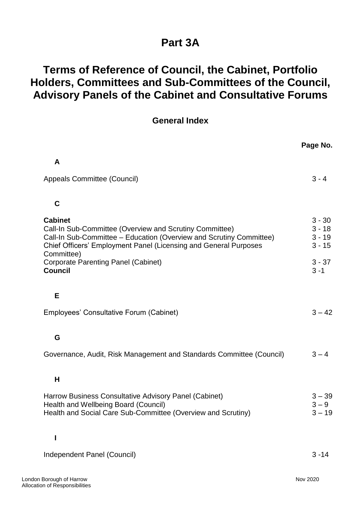## **Part 3A**

## **Terms of Reference of Council, the Cabinet, Portfolio Holders, Committees and Sub-Committees of the Council, Advisory Panels of the Cabinet and Consultative Forums**

| <b>General Index</b> |  |
|----------------------|--|
|----------------------|--|

|                                                                                                                                                                                                                                    | Page No.                                     |
|------------------------------------------------------------------------------------------------------------------------------------------------------------------------------------------------------------------------------------|----------------------------------------------|
| A                                                                                                                                                                                                                                  |                                              |
| Appeals Committee (Council)                                                                                                                                                                                                        | $3 - 4$                                      |
|                                                                                                                                                                                                                                    |                                              |
| $\mathbf C$                                                                                                                                                                                                                        |                                              |
| <b>Cabinet</b><br>Call-In Sub-Committee (Overview and Scrutiny Committee)<br>Call-In Sub-Committee - Education (Overview and Scrutiny Committee)<br>Chief Officers' Employment Panel (Licensing and General Purposes<br>Committee) | $3 - 30$<br>$3 - 18$<br>$3 - 19$<br>$3 - 15$ |
| <b>Corporate Parenting Panel (Cabinet)</b><br><b>Council</b>                                                                                                                                                                       | $3 - 37$<br>$3 - 1$                          |
| E                                                                                                                                                                                                                                  |                                              |
| Employees' Consultative Forum (Cabinet)                                                                                                                                                                                            | $3 - 42$                                     |
| G                                                                                                                                                                                                                                  |                                              |
| Governance, Audit, Risk Management and Standards Committee (Council)                                                                                                                                                               | $3 - 4$                                      |
| H                                                                                                                                                                                                                                  |                                              |
| Harrow Business Consultative Advisory Panel (Cabinet)<br>Health and Wellbeing Board (Council)<br>Health and Social Care Sub-Committee (Overview and Scrutiny)                                                                      | $3 - 39$<br>$3 - 9$<br>$3 - 19$              |
|                                                                                                                                                                                                                                    |                                              |
| Independent Panel (Council)                                                                                                                                                                                                        | $3 - 14$                                     |